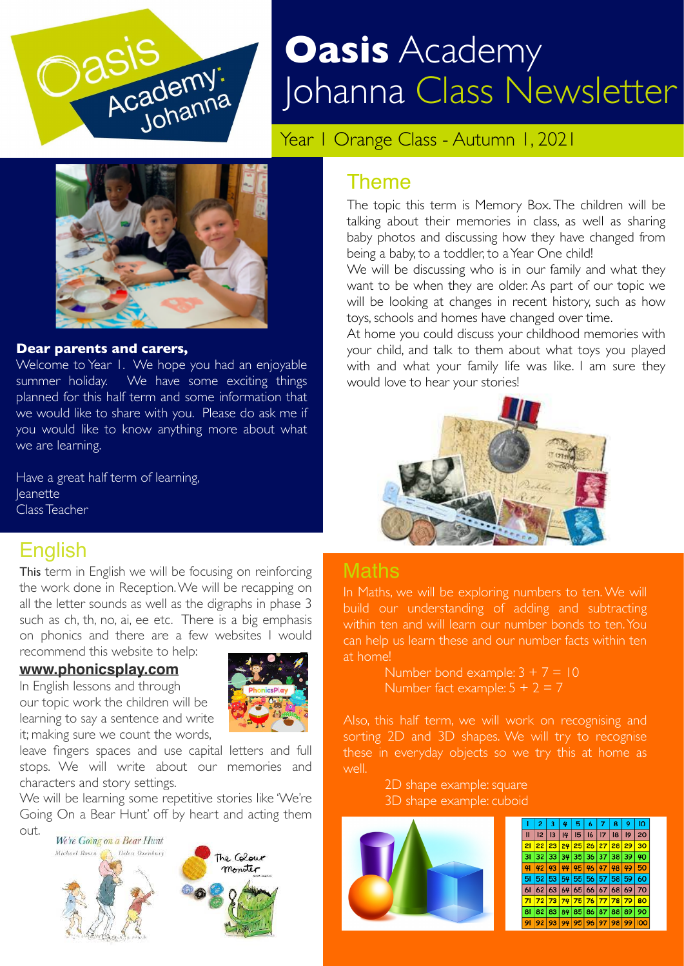

# **Oasis** Academy Johanna Class Newsletter

Year | Orange Class - Autumn |, 2021



#### **Dear parents and carers,**

Welcome to Year 1. We hope you had an enjoyable summer holiday. We have some exciting things planned for this half term and some information that we would like to share with you. Please do ask me if you would like to know anything more about what we are learning.

Have a great half term of learning, **leanette** Class Teacher

#### English

This term in English we will be focusing on reinforcing the work done in Reception. We will be recapping on all the letter sounds as well as the digraphs in phase 3 such as ch, th, no, ai, ee etc. There is a big emphasis on phonics and there are a few websites I would recommend this website to help:

#### **[www.phonicsplay.com](http://www.phonicsplay.com)**

In English lessons and through our topic work the children will be learning to say a sentence and write it; making sure we count the words,



leave fingers spaces and use capital letters and full stops. We will write about our memories and characters and story settings.

We will be learning some repetitive stories like 'We're Going On a Bear Hunt' off by heart and acting them out.



#### Theme

The topic this term is Memory Box. The children will be talking about their memories in class, as well as sharing baby photos and discussing how they have changed from being a baby, to a toddler, to a Year One child!

We will be discussing who is in our family and what they want to be when they are older. As part of our topic we will be looking at changes in recent history, such as how toys, schools and homes have changed over time.

At home you could discuss your childhood memories with your child, and talk to them about what toys you played with and what your family life was like. I am sure they would love to hear your stories!



#### Maths

In Maths, we will be exploring numbers to ten. We will build our understanding of adding and subtracting within ten and will learn our number bonds to ten. You can help us learn these and our number facts within ten at home!

> Number bond example:  $3 + 7 = 10$ Number fact example:  $5 + 2 = 7$

Also, this half term, we will work on recognising and sorting 2D and 3D shapes. We will try to recognise these in everyday objects so we try this at home as well.

> 2D shape example: square 3D shape example: cuboid